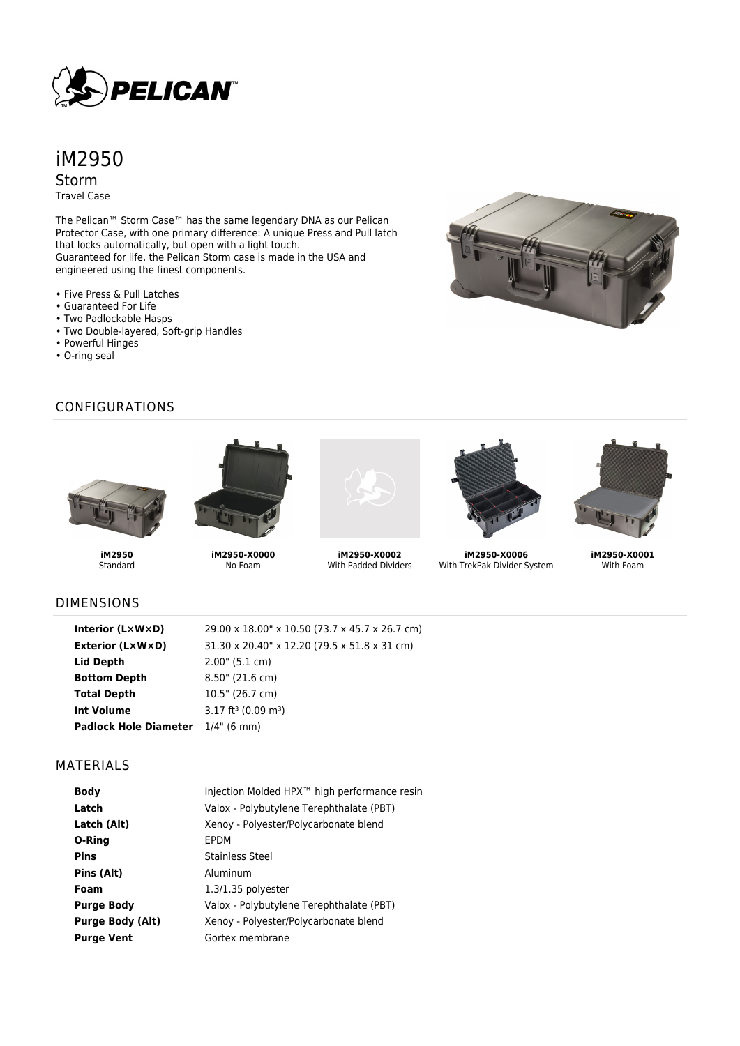

# iM2950 Storm

Travel Case

The Pelican™ Storm Case™ has the same legendary DNA as our Pelican Protector Case, with one primary difference: A unique Press and Pull latch that locks automatically, but open with a light touch. Guaranteed for life, the Pelican Storm case is made in the USA and engineered using the finest components.

- Five Press & Pull Latches
- Guaranteed For Life
- Two Padlockable Hasps
- Two Double-layered, Soft-grip Handles
- Powerful Hinges
- O-ring seal



### CONFIGURATIONS



**iM2950** Standard



**iM2950-X0000** No Foam



**iM2950-X0002** With Padded Dividers



**iM2950-X0006** With TrekPak Divider System



**iM2950-X0001** With Foam

### DIMENSIONS

| Interior (L×W×D)                         | 29.00 x 18.00" x 10.50 (73.7 x 45.7 x 26.7 cm) |
|------------------------------------------|------------------------------------------------|
| Exterior (L×W×D)                         | 31.30 x 20.40" x 12.20 (79.5 x 51.8 x 31 cm)   |
| Lid Depth                                | $2.00$ " (5.1 cm)                              |
| <b>Bottom Depth</b>                      | $8.50$ " (21.6 cm)                             |
| <b>Total Depth</b>                       | 10.5" (26.7 cm)                                |
| <b>Int Volume</b>                        | $3.17$ ft <sup>3</sup> (0.09 m <sup>3</sup> )  |
| <b>Padlock Hole Diameter</b> 1/4" (6 mm) |                                                |
|                                          |                                                |

#### MATERIALS

| <b>Body</b>             | Injection Molded HPX <sup>™</sup> high performance resin |
|-------------------------|----------------------------------------------------------|
| Latch                   | Valox - Polybutylene Terephthalate (PBT)                 |
| Latch (Alt)             | Xenoy - Polyester/Polycarbonate blend                    |
| O-Ring                  | EPDM                                                     |
| <b>Pins</b>             | Stainless Steel                                          |
| Pins (Alt)              | Aluminum                                                 |
| Foam                    | $1.3/1.35$ polyester                                     |
| <b>Purge Body</b>       | Valox - Polybutylene Terephthalate (PBT)                 |
| <b>Purge Body (Alt)</b> | Xenoy - Polyester/Polycarbonate blend                    |
| <b>Purge Vent</b>       | Gortex membrane                                          |
|                         |                                                          |